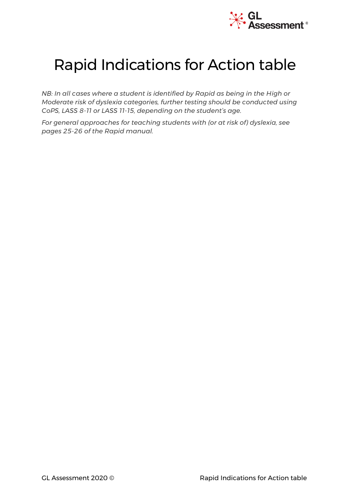

# Rapid Indications for Action table

*NB: In all cases where a student is identified by Rapid as being in the High or Moderate risk of dyslexia categories, further testing should be conducted using CoPS, LASS 8-11 or LASS 11-15, depending on the student's age.*

*For general approaches for teaching students with (or at risk of) dyslexia, see pages 25-26 of the Rapid manual.*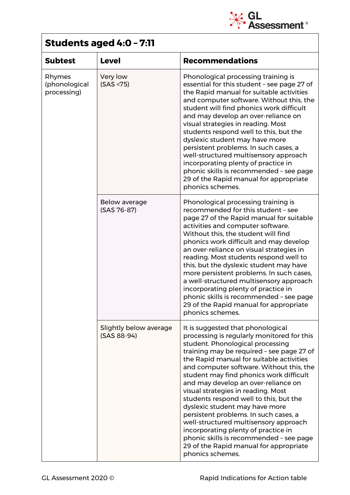

### **Students aged 4:0 – 7:11**

| <b>Subtest</b>                         | <b>Level</b>                          | <b>Recommendations</b>                                                                                                                                                                                                                                                                                                                                                                                                                                                                                                                                                                                                                                                                         |
|----------------------------------------|---------------------------------------|------------------------------------------------------------------------------------------------------------------------------------------------------------------------------------------------------------------------------------------------------------------------------------------------------------------------------------------------------------------------------------------------------------------------------------------------------------------------------------------------------------------------------------------------------------------------------------------------------------------------------------------------------------------------------------------------|
| Rhymes<br>(phonological<br>processing) | Very low<br>(SAS < 75)                | Phonological processing training is<br>essential for this student - see page 27 of<br>the Rapid manual for suitable activities<br>and computer software. Without this, the<br>student will find phonics work difficult<br>and may develop an over-reliance on<br>visual strategies in reading. Most<br>students respond well to this, but the<br>dyslexic student may have more<br>persistent problems. In such cases, a<br>well-structured multisensory approach<br>incorporating plenty of practice in<br>phonic skills is recommended - see page<br>29 of the Rapid manual for appropriate<br>phonics schemes.                                                                              |
|                                        | Below average<br>(SAS 76-87)          | Phonological processing training is<br>recommended for this student - see<br>page 27 of the Rapid manual for suitable<br>activities and computer software.<br>Without this, the student will find<br>phonics work difficult and may develop<br>an over-reliance on visual strategies in<br>reading. Most students respond well to<br>this, but the dyslexic student may have<br>more persistent problems. In such cases,<br>a well-structured multisensory approach<br>incorporating plenty of practice in<br>phonic skills is recommended - see page<br>29 of the Rapid manual for appropriate<br>phonics schemes.                                                                            |
|                                        | Slightly below average<br>(SAS 88-94) | It is suggested that phonological<br>processing is regularly monitored for this<br>student. Phonological processing<br>training may be required - see page 27 of<br>the Rapid manual for suitable activities<br>and computer software. Without this, the<br>student may find phonics work difficult<br>and may develop an over-reliance on<br>visual strategies in reading. Most<br>students respond well to this, but the<br>dyslexic student may have more<br>persistent problems. In such cases, a<br>well-structured multisensory approach<br>incorporating plenty of practice in<br>phonic skills is recommended - see page<br>29 of the Rapid manual for appropriate<br>phonics schemes. |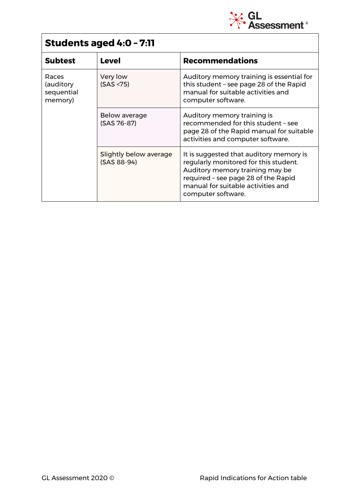

# **Students aged 4:0 – 7:11**

| <b>Subtest</b>                              | <b>Level</b>                          | <b>Recommendations</b>                                                                                                                                                                                                 |
|---------------------------------------------|---------------------------------------|------------------------------------------------------------------------------------------------------------------------------------------------------------------------------------------------------------------------|
| Races<br>(auditory<br>sequential<br>memory) | Very low<br>(SAS < 75)                | Auditory memory training is essential for<br>this student - see page 28 of the Rapid<br>manual for suitable activities and<br>computer software.                                                                       |
|                                             | Below average<br>(SAS 76-87)          | Auditory memory training is<br>recommended for this student - see<br>page 28 of the Rapid manual for suitable<br>activities and computer software.                                                                     |
|                                             | Slightly below average<br>(SAS 88-94) | It is suggested that auditory memory is<br>regularly monitored for this student.<br>Auditory memory training may be<br>required - see page 28 of the Rapid<br>manual for suitable activities and<br>computer software. |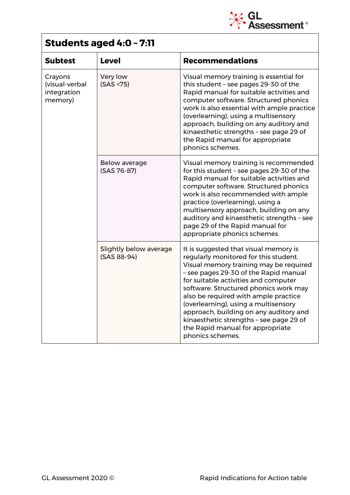

# **Students aged 4:0 – 7:11**

| <b>Subtest</b>                                      | <b>Level</b>                          | <b>Recommendations</b>                                                                                                                                                                                                                                                                                                                                                                                                                                                          |
|-----------------------------------------------------|---------------------------------------|---------------------------------------------------------------------------------------------------------------------------------------------------------------------------------------------------------------------------------------------------------------------------------------------------------------------------------------------------------------------------------------------------------------------------------------------------------------------------------|
| Crayons<br>(visual-verbal<br>integration<br>memory) | Very low<br>(SAS < 75)                | Visual memory training is essential for<br>this student - see pages 29-30 of the<br>Rapid manual for suitable activities and<br>computer software. Structured phonics<br>work is also essential with ample practice<br>(overlearning), using a multisensory<br>approach, building on any auditory and<br>kinaesthetic strengths - see page 29 of<br>the Rapid manual for appropriate<br>phonics schemes.                                                                        |
|                                                     | Below average<br>(SAS 76-87)          | Visual memory training is recommended<br>for this student - see pages 29-30 of the<br>Rapid manual for suitable activities and<br>computer software. Structured phonics<br>work is also recommended with ample<br>practice (overlearning), using a<br>multisensory approach, building on any<br>auditory and kinaesthetic strengths - see<br>page 29 of the Rapid manual for<br>appropriate phonics schemes.                                                                    |
|                                                     | Slightly below average<br>(SAS 88-94) | It is suggested that visual memory is<br>regularly monitored for this student.<br>Visual memory training may be required<br>- see pages 29-30 of the Rapid manual<br>for suitable activities and computer<br>software. Structured phonics work may<br>also be required with ample practice<br>(overlearning), using a multisensory<br>approach, building on any auditory and<br>kinaesthetic strengths - see page 29 of<br>the Rapid manual for appropriate<br>phonics schemes. |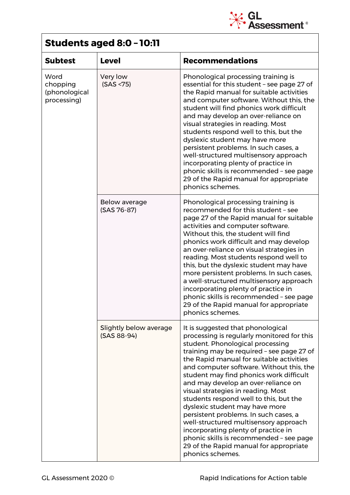

### **Students aged 8:0 – 10:11**

| <b>Subtest</b>                                   | <b>Level</b>                          | <b>Recommendations</b>                                                                                                                                                                                                                                                                                                                                                                                                                                                                                                                                                                                                                                                                         |
|--------------------------------------------------|---------------------------------------|------------------------------------------------------------------------------------------------------------------------------------------------------------------------------------------------------------------------------------------------------------------------------------------------------------------------------------------------------------------------------------------------------------------------------------------------------------------------------------------------------------------------------------------------------------------------------------------------------------------------------------------------------------------------------------------------|
| Word<br>chopping<br>(phonological<br>processing) | Very low<br>(SAS < 75)                | Phonological processing training is<br>essential for this student - see page 27 of<br>the Rapid manual for suitable activities<br>and computer software. Without this, the<br>student will find phonics work difficult<br>and may develop an over-reliance on<br>visual strategies in reading. Most<br>students respond well to this, but the<br>dyslexic student may have more<br>persistent problems. In such cases, a<br>well-structured multisensory approach<br>incorporating plenty of practice in<br>phonic skills is recommended - see page<br>29 of the Rapid manual for appropriate<br>phonics schemes.                                                                              |
|                                                  | Below average<br>(SAS 76-87)          | Phonological processing training is<br>recommended for this student - see<br>page 27 of the Rapid manual for suitable<br>activities and computer software.<br>Without this, the student will find<br>phonics work difficult and may develop<br>an over-reliance on visual strategies in<br>reading. Most students respond well to<br>this, but the dyslexic student may have<br>more persistent problems. In such cases,<br>a well-structured multisensory approach<br>incorporating plenty of practice in<br>phonic skills is recommended - see page<br>29 of the Rapid manual for appropriate<br>phonics schemes.                                                                            |
|                                                  | Slightly below average<br>(SAS 88-94) | It is suggested that phonological<br>processing is regularly monitored for this<br>student. Phonological processing<br>training may be required - see page 27 of<br>the Rapid manual for suitable activities<br>and computer software. Without this, the<br>student may find phonics work difficult<br>and may develop an over-reliance on<br>visual strategies in reading. Most<br>students respond well to this, but the<br>dyslexic student may have more<br>persistent problems. In such cases, a<br>well-structured multisensory approach<br>incorporating plenty of practice in<br>phonic skills is recommended - see page<br>29 of the Rapid manual for appropriate<br>phonics schemes. |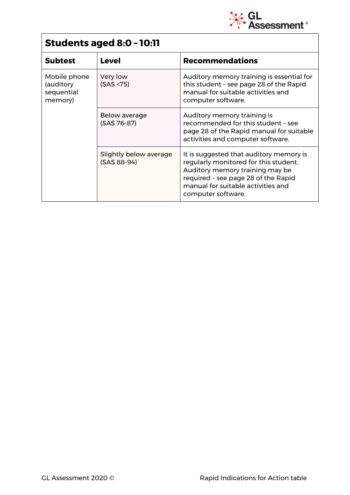

# **Students aged 8:0 – 10:11**

| <b>Subtest</b>                                     | <b>Level</b>                          | <b>Recommendations</b>                                                                                                                                                                                                 |
|----------------------------------------------------|---------------------------------------|------------------------------------------------------------------------------------------------------------------------------------------------------------------------------------------------------------------------|
| Mobile phone<br>(auditory<br>sequential<br>memory) | Very low<br>(SAS < 75)                | Auditory memory training is essential for<br>this student - see page 28 of the Rapid<br>manual for suitable activities and<br>computer software.                                                                       |
|                                                    | Below average<br>(SAS 76-87)          | Auditory memory training is<br>recommended for this student - see<br>page 28 of the Rapid manual for suitable<br>activities and computer software.                                                                     |
|                                                    | Slightly below average<br>(SAS 88-94) | It is suggested that auditory memory is<br>regularly monitored for this student.<br>Auditory memory training may be<br>required - see page 28 of the Rapid<br>manual for suitable activities and<br>computer software. |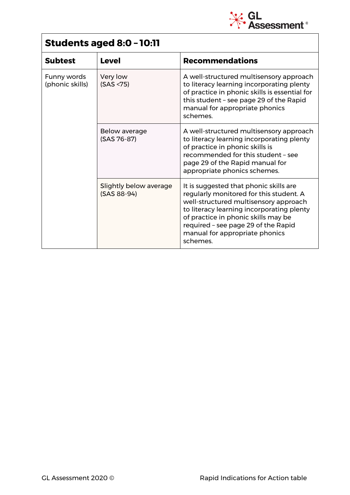

# **Students aged 8:0 – 10:11**

| <b>Subtest</b>                 | <b>Level</b>                          | <b>Recommendations</b>                                                                                                                                                                                                                                                                              |
|--------------------------------|---------------------------------------|-----------------------------------------------------------------------------------------------------------------------------------------------------------------------------------------------------------------------------------------------------------------------------------------------------|
| Funny words<br>(phonic skills) | Very low<br>(SAS < 75)                | A well-structured multisensory approach<br>to literacy learning incorporating plenty<br>of practice in phonic skills is essential for<br>this student - see page 29 of the Rapid<br>manual for appropriate phonics<br>schemes.                                                                      |
|                                | Below average<br>(SAS 76-87)          | A well-structured multisensory approach<br>to literacy learning incorporating plenty<br>of practice in phonic skills is<br>recommended for this student - see<br>page 29 of the Rapid manual for<br>appropriate phonics schemes.                                                                    |
|                                | Slightly below average<br>(SAS 88-94) | It is suggested that phonic skills are<br>regularly monitored for this student. A<br>well-structured multisensory approach<br>to literacy learning incorporating plenty<br>of practice in phonic skills may be<br>required - see page 29 of the Rapid<br>manual for appropriate phonics<br>schemes. |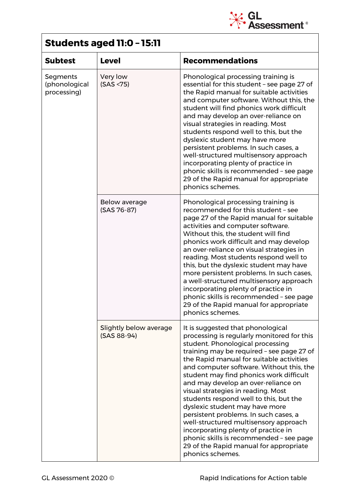

### **Students aged 11:0 – 15:11**

| <b>Subtest</b>                           | <b>Level</b>                          | <b>Recommendations</b>                                                                                                                                                                                                                                                                                                                                                                                                                                                                                                                                                                                                                                                                         |
|------------------------------------------|---------------------------------------|------------------------------------------------------------------------------------------------------------------------------------------------------------------------------------------------------------------------------------------------------------------------------------------------------------------------------------------------------------------------------------------------------------------------------------------------------------------------------------------------------------------------------------------------------------------------------------------------------------------------------------------------------------------------------------------------|
| Segments<br>(phonological<br>processing) | Very low<br>(SAS < 75)                | Phonological processing training is<br>essential for this student - see page 27 of<br>the Rapid manual for suitable activities<br>and computer software. Without this, the<br>student will find phonics work difficult<br>and may develop an over-reliance on<br>visual strategies in reading. Most<br>students respond well to this, but the<br>dyslexic student may have more<br>persistent problems. In such cases, a<br>well-structured multisensory approach<br>incorporating plenty of practice in<br>phonic skills is recommended - see page<br>29 of the Rapid manual for appropriate<br>phonics schemes.                                                                              |
|                                          | Below average<br>(SAS 76-87)          | Phonological processing training is<br>recommended for this student - see<br>page 27 of the Rapid manual for suitable<br>activities and computer software.<br>Without this, the student will find<br>phonics work difficult and may develop<br>an over-reliance on visual strategies in<br>reading. Most students respond well to<br>this, but the dyslexic student may have<br>more persistent problems. In such cases,<br>a well-structured multisensory approach<br>incorporating plenty of practice in<br>phonic skills is recommended - see page<br>29 of the Rapid manual for appropriate<br>phonics schemes.                                                                            |
|                                          | Slightly below average<br>(SAS 88-94) | It is suggested that phonological<br>processing is regularly monitored for this<br>student. Phonological processing<br>training may be required - see page 27 of<br>the Rapid manual for suitable activities<br>and computer software. Without this, the<br>student may find phonics work difficult<br>and may develop an over-reliance on<br>visual strategies in reading. Most<br>students respond well to this, but the<br>dyslexic student may have more<br>persistent problems. In such cases, a<br>well-structured multisensory approach<br>incorporating plenty of practice in<br>phonic skills is recommended - see page<br>29 of the Rapid manual for appropriate<br>phonics schemes. |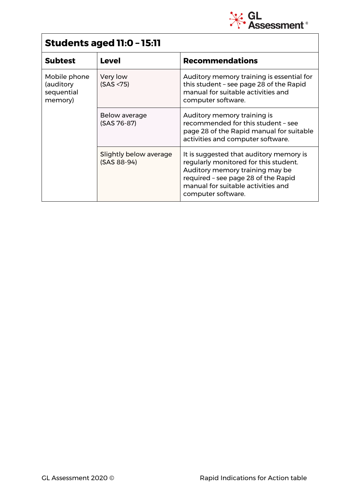

# **Students aged 11:0 – 15:11**

| <b>Subtest</b>                                     | <b>Level</b>                          | <b>Recommendations</b>                                                                                                                                                                                                 |
|----------------------------------------------------|---------------------------------------|------------------------------------------------------------------------------------------------------------------------------------------------------------------------------------------------------------------------|
| Mobile phone<br>(auditory<br>sequential<br>memory) | Very low<br>(SAS < 75)                | Auditory memory training is essential for<br>this student - see page 28 of the Rapid<br>manual for suitable activities and<br>computer software.                                                                       |
|                                                    | Below average<br>(SAS 76-87)          | Auditory memory training is<br>recommended for this student - see<br>page 28 of the Rapid manual for suitable<br>activities and computer software.                                                                     |
|                                                    | Slightly below average<br>(SAS 88-94) | It is suggested that auditory memory is<br>regularly monitored for this student.<br>Auditory memory training may be<br>required - see page 28 of the Rapid<br>manual for suitable activities and<br>computer software. |